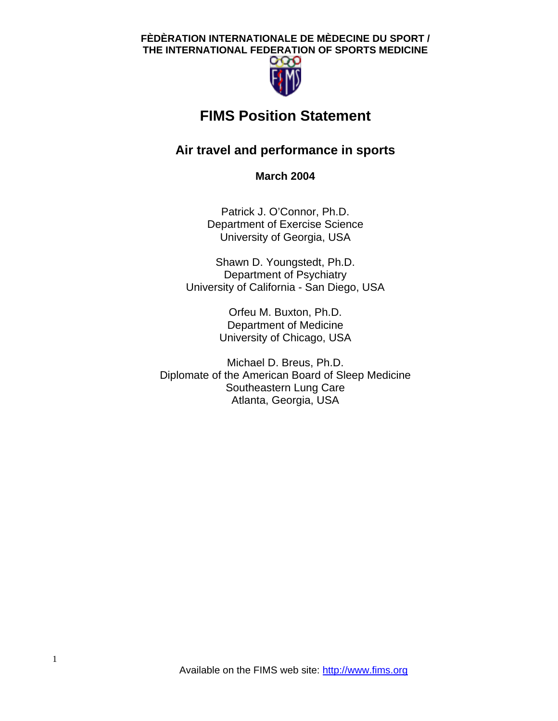

# **FIMS Position Statement**

## **Air travel and performance in sports**

**March 2004** 

Patrick J. O'Connor, Ph.D. Department of Exercise Science University of Georgia, USA

Shawn D. Youngstedt, Ph.D. Department of Psychiatry University of California - San Diego, USA

> Orfeu M. Buxton, Ph.D. Department of Medicine University of Chicago, USA

Michael D. Breus, Ph.D. Diplomate of the American Board of Sleep Medicine Southeastern Lung Care Atlanta, Georgia, USA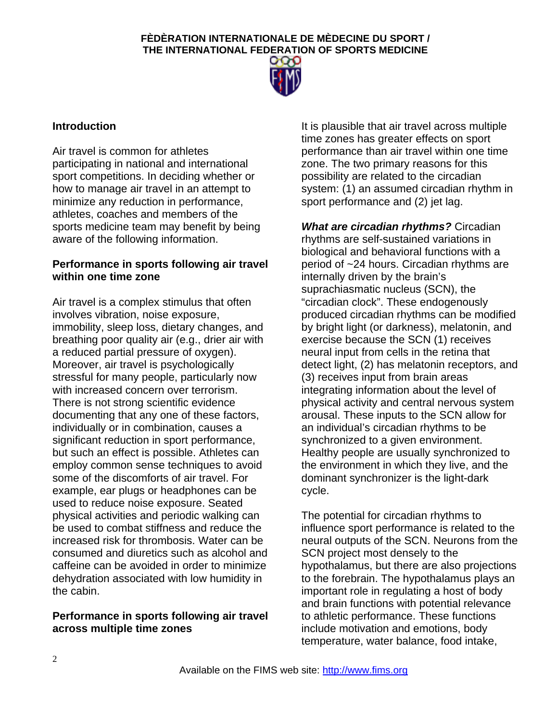

## **Introduction**

Air travel is common for athletes participating in national and international sport competitions. In deciding whether or how to manage air travel in an attempt to minimize any reduction in performance, athletes, coaches and members of the sports medicine team may benefit by being aware of the following information.

## **Performance in sports following air travel within one time zone**

Air travel is a complex stimulus that often involves vibration, noise exposure, immobility, sleep loss, dietary changes, and breathing poor quality air (e.g., drier air with a reduced partial pressure of oxygen). Moreover, air travel is psychologically stressful for many people, particularly now with increased concern over terrorism. There is not strong scientific evidence documenting that any one of these factors, individually or in combination, causes a significant reduction in sport performance, but such an effect is possible. Athletes can employ common sense techniques to avoid some of the discomforts of air travel. For example, ear plugs or headphones can be used to reduce noise exposure. Seated physical activities and periodic walking can be used to combat stiffness and reduce the increased risk for thrombosis. Water can be consumed and diuretics such as alcohol and caffeine can be avoided in order to minimize dehydration associated with low humidity in the cabin.

## **Performance in sports following air travel across multiple time zones**

It is plausible that air travel across multiple time zones has greater effects on sport performance than air travel within one time zone. The two primary reasons for this possibility are related to the circadian system: (1) an assumed circadian rhythm in sport performance and (2) jet lag.

*What are circadian rhythms?* Circadian rhythms are self-sustained variations in biological and behavioral functions with a period of ~24 hours. Circadian rhythms are internally driven by the brain's suprachiasmatic nucleus (SCN), the "circadian clock". These endogenously produced circadian rhythms can be modified by bright light (or darkness), melatonin, and exercise because the SCN (1) receives neural input from cells in the retina that detect light, (2) has melatonin receptors, and (3) receives input from brain areas integrating information about the level of physical activity and central nervous system arousal. These inputs to the SCN allow for an individual's circadian rhythms to be synchronized to a given environment. Healthy people are usually synchronized to the environment in which they live, and the dominant synchronizer is the light-dark cycle.

The potential for circadian rhythms to influence sport performance is related to the neural outputs of the SCN. Neurons from the SCN project most densely to the hypothalamus, but there are also projections to the forebrain. The hypothalamus plays an important role in regulating a host of body and brain functions with potential relevance to athletic performance. These functions include motivation and emotions, body temperature, water balance, food intake,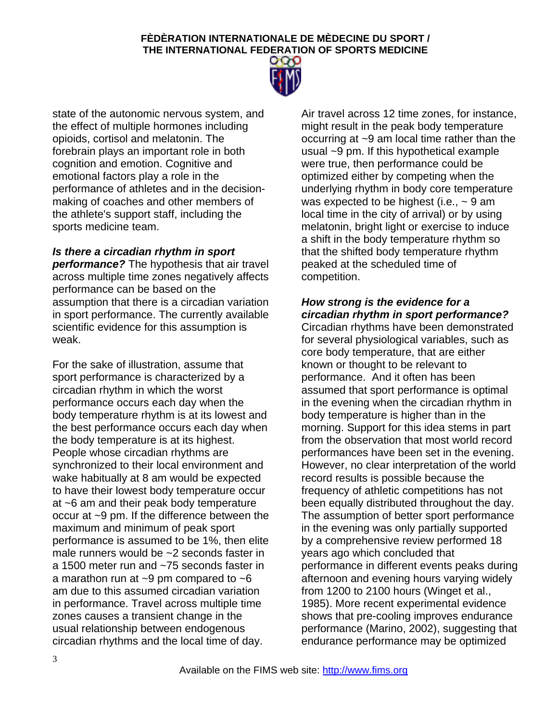

state of the autonomic nervous system, and the effect of multiple hormones including opioids, cortisol and melatonin. The forebrain plays an important role in both cognition and emotion. Cognitive and emotional factors play a role in the performance of athletes and in the decisionmaking of coaches and other members of the athlete's support staff, including the sports medicine team.

## *Is there a circadian rhythm in sport*

*performance?* The hypothesis that air travel across multiple time zones negatively affects performance can be based on the assumption that there is a circadian variation in sport performance. The currently available scientific evidence for this assumption is weak.

For the sake of illustration, assume that sport performance is characterized by a circadian rhythm in which the worst performance occurs each day when the body temperature rhythm is at its lowest and the best performance occurs each day when the body temperature is at its highest. People whose circadian rhythms are synchronized to their local environment and wake habitually at 8 am would be expected to have their lowest body temperature occur at ~6 am and their peak body temperature occur at ~9 pm. If the difference between the maximum and minimum of peak sport performance is assumed to be 1%, then elite male runners would be ~2 seconds faster in a 1500 meter run and ~75 seconds faster in a marathon run at  $\sim$ 9 pm compared to  $\sim$ 6 am due to this assumed circadian variation in performance. Travel across multiple time zones causes a transient change in the usual relationship between endogenous circadian rhythms and the local time of day.

Air travel across 12 time zones, for instance, might result in the peak body temperature occurring at ~9 am local time rather than the usual ~9 pm. If this hypothetical example were true, then performance could be optimized either by competing when the underlying rhythm in body core temperature was expected to be highest (i.e.,  $\sim$  9 am local time in the city of arrival) or by using melatonin, bright light or exercise to induce a shift in the body temperature rhythm so that the shifted body temperature rhythm peaked at the scheduled time of competition.

## *How strong is the evidence for a circadian rhythm in sport performance?*

Circadian rhythms have been demonstrated for several physiological variables, such as core body temperature, that are either known or thought to be relevant to performance. And it often has been assumed that sport performance is optimal in the evening when the circadian rhythm in body temperature is higher than in the morning. Support for this idea stems in part from the observation that most world record performances have been set in the evening. However, no clear interpretation of the world record results is possible because the frequency of athletic competitions has not been equally distributed throughout the day. The assumption of better sport performance in the evening was only partially supported by a comprehensive review performed 18 years ago which concluded that performance in different events peaks during afternoon and evening hours varying widely from 1200 to 2100 hours (Winget et al., 1985). More recent experimental evidence shows that pre-cooling improves endurance performance (Marino, 2002), suggesting that endurance performance may be optimized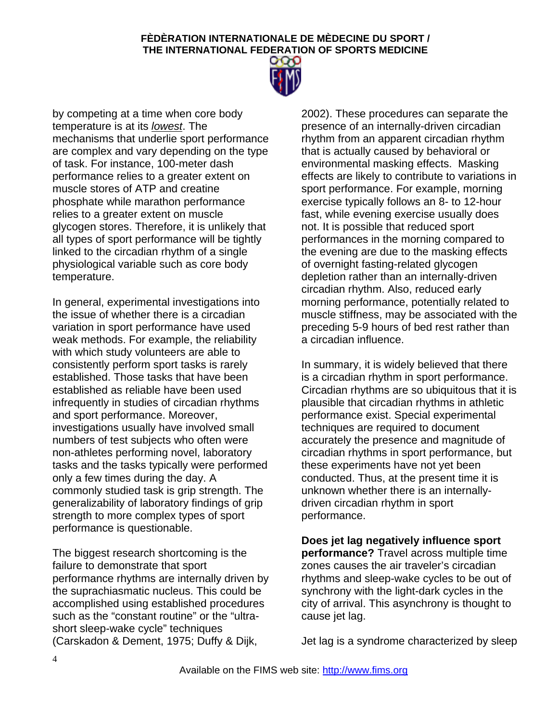

by competing at a time when core body temperature is at its *lowest*. The mechanisms that underlie sport performance are complex and vary depending on the type of task. For instance, 100-meter dash performance relies to a greater extent on muscle stores of ATP and creatine phosphate while marathon performance relies to a greater extent on muscle glycogen stores. Therefore, it is unlikely that all types of sport performance will be tightly linked to the circadian rhythm of a single physiological variable such as core body temperature.

In general, experimental investigations into the issue of whether there is a circadian variation in sport performance have used weak methods. For example, the reliability with which study volunteers are able to consistently perform sport tasks is rarely established. Those tasks that have been established as reliable have been used infrequently in studies of circadian rhythms and sport performance. Moreover, investigations usually have involved small numbers of test subjects who often were non-athletes performing novel, laboratory tasks and the tasks typically were performed only a few times during the day. A commonly studied task is grip strength. The generalizability of laboratory findings of grip strength to more complex types of sport performance is questionable.

The biggest research shortcoming is the failure to demonstrate that sport performance rhythms are internally driven by the suprachiasmatic nucleus. This could be accomplished using established procedures such as the "constant routine" or the "ultrashort sleep-wake cycle" techniques (Carskadon & Dement, 1975; Duffy & Dijk,

2002). These procedures can separate the presence of an internally-driven circadian rhythm from an apparent circadian rhythm that is actually caused by behavioral or environmental masking effects. Masking effects are likely to contribute to variations in sport performance. For example, morning exercise typically follows an 8- to 12-hour fast, while evening exercise usually does not. It is possible that reduced sport performances in the morning compared to the evening are due to the masking effects of overnight fasting-related glycogen depletion rather than an internally-driven circadian rhythm. Also, reduced early morning performance, potentially related to muscle stiffness, may be associated with the preceding 5-9 hours of bed rest rather than a circadian influence.

In summary, it is widely believed that there is a circadian rhythm in sport performance. Circadian rhythms are so ubiquitous that it is plausible that circadian rhythms in athletic performance exist. Special experimental techniques are required to document accurately the presence and magnitude of circadian rhythms in sport performance, but these experiments have not yet been conducted. Thus, at the present time it is unknown whether there is an internallydriven circadian rhythm in sport performance.

**Does jet lag negatively influence sport performance?** Travel across multiple time zones causes the air traveler's circadian rhythms and sleep-wake cycles to be out of synchrony with the light-dark cycles in the city of arrival. This asynchrony is thought to cause jet lag.

Jet lag is a syndrome characterized by sleep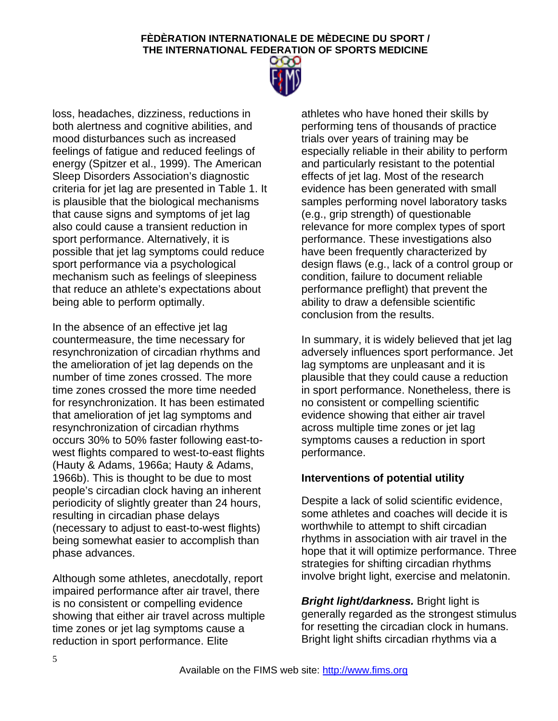

loss, headaches, dizziness, reductions in both alertness and cognitive abilities, and mood disturbances such as increased feelings of fatigue and reduced feelings of energy (Spitzer et al., 1999). The American Sleep Disorders Association's diagnostic criteria for jet lag are presented in Table 1. It is plausible that the biological mechanisms that cause signs and symptoms of jet lag also could cause a transient reduction in sport performance. Alternatively, it is possible that jet lag symptoms could reduce sport performance via a psychological mechanism such as feelings of sleepiness that reduce an athlete's expectations about being able to perform optimally.

In the absence of an effective jet lag countermeasure, the time necessary for resynchronization of circadian rhythms and the amelioration of jet lag depends on the number of time zones crossed. The more time zones crossed the more time needed for resynchronization. It has been estimated that amelioration of jet lag symptoms and resynchronization of circadian rhythms occurs 30% to 50% faster following east-towest flights compared to west-to-east flights (Hauty & Adams, 1966a; Hauty & Adams, 1966b). This is thought to be due to most people's circadian clock having an inherent periodicity of slightly greater than 24 hours, resulting in circadian phase delays (necessary to adjust to east-to-west flights) being somewhat easier to accomplish than phase advances.

Although some athletes, anecdotally, report impaired performance after air travel, there is no consistent or compelling evidence showing that either air travel across multiple time zones or jet lag symptoms cause a reduction in sport performance. Elite

athletes who have honed their skills by performing tens of thousands of practice trials over years of training may be especially reliable in their ability to perform and particularly resistant to the potential effects of jet lag. Most of the research evidence has been generated with small samples performing novel laboratory tasks (e.g., grip strength) of questionable relevance for more complex types of sport performance. These investigations also have been frequently characterized by design flaws (e.g., lack of a control group or condition, failure to document reliable performance preflight) that prevent the ability to draw a defensible scientific conclusion from the results.

In summary, it is widely believed that jet lag adversely influences sport performance. Jet lag symptoms are unpleasant and it is plausible that they could cause a reduction in sport performance. Nonetheless, there is no consistent or compelling scientific evidence showing that either air travel across multiple time zones or jet lag symptoms causes a reduction in sport performance.

## **Interventions of potential utility**

Despite a lack of solid scientific evidence, some athletes and coaches will decide it is worthwhile to attempt to shift circadian rhythms in association with air travel in the hope that it will optimize performance. Three strategies for shifting circadian rhythms involve bright light, exercise and melatonin.

*Bright light/darkness.* Bright light is generally regarded as the strongest stimulus for resetting the circadian clock in humans. Bright light shifts circadian rhythms via a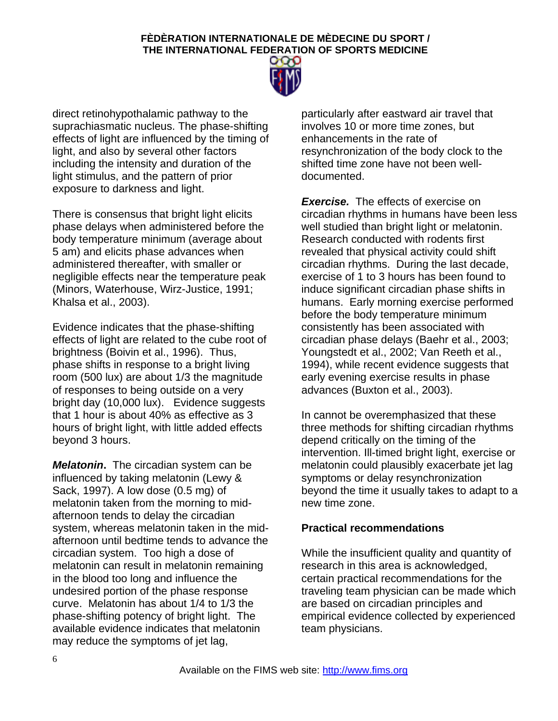

direct retinohypothalamic pathway to the suprachiasmatic nucleus. The phase-shifting effects of light are influenced by the timing of light, and also by several other factors including the intensity and duration of the light stimulus, and the pattern of prior exposure to darkness and light.

There is consensus that bright light elicits phase delays when administered before the body temperature minimum (average about 5 am) and elicits phase advances when administered thereafter, with smaller or negligible effects near the temperature peak (Minors, Waterhouse, Wirz-Justice, 1991; Khalsa et al., 2003).

Evidence indicates that the phase-shifting effects of light are related to the cube root of brightness (Boivin et al., 1996). Thus, phase shifts in response to a bright living room (500 lux) are about 1/3 the magnitude of responses to being outside on a very bright day (10,000 lux). Evidence suggests that 1 hour is about 40% as effective as 3 hours of bright light, with little added effects beyond 3 hours.

*Melatonin***.** The circadian system can be influenced by taking melatonin (Lewy & Sack, 1997). A low dose (0.5 mg) of melatonin taken from the morning to midafternoon tends to delay the circadian system, whereas melatonin taken in the midafternoon until bedtime tends to advance the circadian system. Too high a dose of melatonin can result in melatonin remaining in the blood too long and influence the undesired portion of the phase response curve. Melatonin has about 1/4 to 1/3 the phase-shifting potency of bright light. The available evidence indicates that melatonin may reduce the symptoms of jet lag,

particularly after eastward air travel that involves 10 or more time zones, but enhancements in the rate of resynchronization of the body clock to the shifted time zone have not been welldocumented.

*Exercise.* The effects of exercise on circadian rhythms in humans have been less well studied than bright light or melatonin. Research conducted with rodents first revealed that physical activity could shift circadian rhythms. During the last decade, exercise of 1 to 3 hours has been found to induce significant circadian phase shifts in humans. Early morning exercise performed before the body temperature minimum consistently has been associated with circadian phase delays (Baehr et al., 2003; Youngstedt et al., 2002; Van Reeth et al., 1994), while recent evidence suggests that early evening exercise results in phase advances (Buxton et al., 2003).

In cannot be overemphasized that these three methods for shifting circadian rhythms depend critically on the timing of the intervention. Ill-timed bright light, exercise or melatonin could plausibly exacerbate jet lag symptoms or delay resynchronization beyond the time it usually takes to adapt to a new time zone.

## **Practical recommendations**

While the insufficient quality and quantity of research in this area is acknowledged, certain practical recommendations for the traveling team physician can be made which are based on circadian principles and empirical evidence collected by experienced team physicians.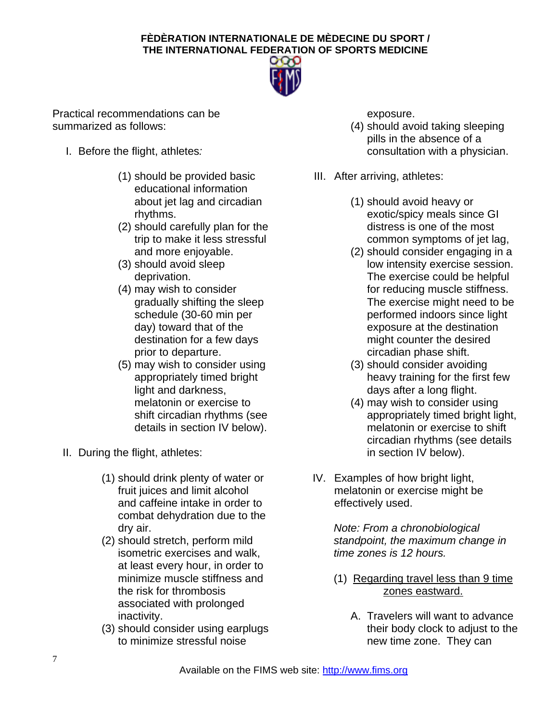

Practical recommendations can be summarized as follows:

- I. Before the flight, athletes*:* 
	- (1) should be provided basic educational information about jet lag and circadian rhythms.
	- (2) should carefully plan for the trip to make it less stressful and more enjoyable.
	- (3) should avoid sleep deprivation.
	- (4) may wish to consider gradually shifting the sleep schedule (30-60 min per day) toward that of the destination for a few days prior to departure.
	- (5) may wish to consider using appropriately timed bright light and darkness, melatonin or exercise to shift circadian rhythms (see details in section IV below).
- II. During the flight, athletes:
	- (1) should drink plenty of water or fruit juices and limit alcohol and caffeine intake in order to combat dehydration due to the dry air.
	- (2) should stretch, perform mild isometric exercises and walk, at least every hour, in order to minimize muscle stiffness and the risk for thrombosis associated with prolonged inactivity.
	- (3) should consider using earplugs to minimize stressful noise

exposure.

- (4) should avoid taking sleeping pills in the absence of a consultation with a physician.
- III. After arriving, athletes:
	- (1) should avoid heavy or exotic/spicy meals since GI distress is one of the most common symptoms of jet lag,
	- (2) should consider engaging in a low intensity exercise session. The exercise could be helpful for reducing muscle stiffness. The exercise might need to be performed indoors since light exposure at the destination might counter the desired circadian phase shift.
	- (3) should consider avoiding heavy training for the first few days after a long flight.
	- (4) may wish to consider using appropriately timed bright light, melatonin or exercise to shift circadian rhythms (see details in section IV below).
- IV. Examples of how bright light, melatonin or exercise might be effectively used.

*Note: From a chronobiological standpoint, the maximum change in time zones is 12 hours.* 

- (1) Regarding travel less than 9 time zones eastward.
	- A. Travelers will want to advance their body clock to adjust to the new time zone. They can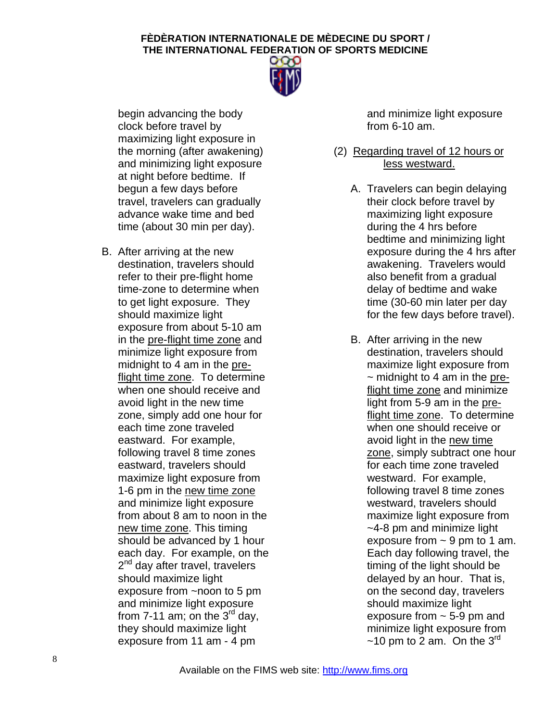

begin advancing the body clock before travel by maximizing light exposure in the morning (after awakening) and minimizing light exposure at night before bedtime. If begun a few days before travel, travelers can gradually advance wake time and bed time (about 30 min per day).

B. After arriving at the new destination, travelers should refer to their pre-flight home time-zone to determine when to get light exposure. They should maximize light exposure from about 5-10 am in the pre-flight time zone and minimize light exposure from midnight to 4 am in the preflight time zone. To determine when one should receive and avoid light in the new time zone, simply add one hour for each time zone traveled eastward. For example, following travel 8 time zones eastward, travelers should maximize light exposure from 1-6 pm in the new time zone and minimize light exposure from about 8 am to noon in the new time zone. This timing should be advanced by 1 hour each day. For example, on the 2<sup>nd</sup> day after travel, travelers should maximize light exposure from ~noon to 5 pm and minimize light exposure from 7-11 am; on the  $3<sup>rd</sup>$  day, they should maximize light exposure from 11 am - 4 pm

and minimize light exposure from 6-10 am.

- (2) Regarding travel of 12 hours or less westward.
	- A. Travelers can begin delaying their clock before travel by maximizing light exposure during the 4 hrs before bedtime and minimizing light exposure during the 4 hrs after awakening. Travelers would also benefit from a gradual delay of bedtime and wake time (30-60 min later per day for the few days before travel).
	- B. After arriving in the new destination, travelers should maximize light exposure from  $\sim$  midnight to 4 am in the preflight time zone and minimize light from 5-9 am in the preflight time zone. To determine when one should receive or avoid light in the new time zone, simply subtract one hour for each time zone traveled westward. For example, following travel 8 time zones westward, travelers should maximize light exposure from ~4-8 pm and minimize light exposure from  $\sim$  9 pm to 1 am. Each day following travel, the timing of the light should be delayed by an hour. That is, on the second day, travelers should maximize light exposure from  $\sim$  5-9 pm and minimize light exposure from  $\sim$ 10 pm to 2 am. On the 3<sup>rd</sup>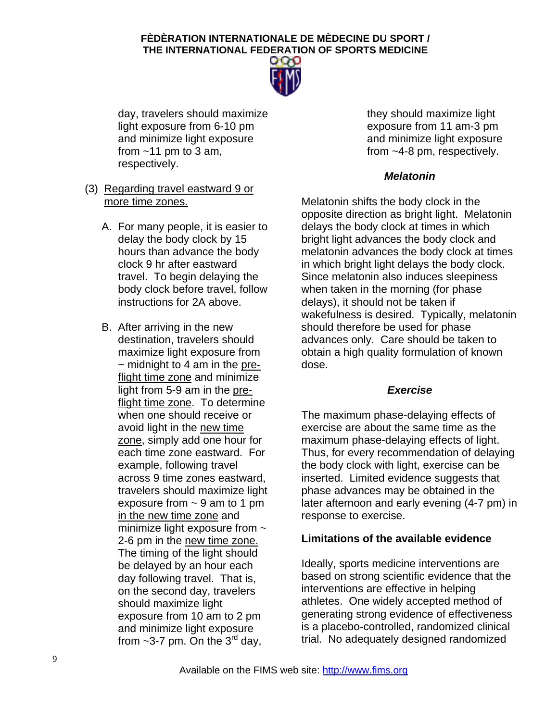

day, travelers should maximize light exposure from 6-10 pm and minimize light exposure from  $~11$  pm to 3 am, respectively.

- (3) Regarding travel eastward 9 or more time zones.
	- A. For many people, it is easier to delay the body clock by 15 hours than advance the body clock 9 hr after eastward travel. To begin delaying the body clock before travel, follow instructions for 2A above.
	- B. After arriving in the new destination, travelers should maximize light exposure from  $\sim$  midnight to 4 am in the preflight time zone and minimize light from 5-9 am in the preflight time zone. To determine when one should receive or avoid light in the new time zone, simply add one hour for each time zone eastward. For example, following travel across 9 time zones eastward, travelers should maximize light exposure from  $\sim$  9 am to 1 pm in the new time zone and minimize light exposure from  $\sim$ 2-6 pm in the new time zone. The timing of the light should be delayed by an hour each day following travel. That is, on the second day, travelers should maximize light exposure from 10 am to 2 pm and minimize light exposure from  $\sim$ 3-7 pm. On the 3<sup>rd</sup> day,

they should maximize light exposure from 11 am-3 pm and minimize light exposure from ~4-8 pm, respectively.

## *Melatonin*

Melatonin shifts the body clock in the opposite direction as bright light. Melatonin delays the body clock at times in which bright light advances the body clock and melatonin advances the body clock at times in which bright light delays the body clock. Since melatonin also induces sleepiness when taken in the morning (for phase delays), it should not be taken if wakefulness is desired. Typically, melatonin should therefore be used for phase advances only. Care should be taken to obtain a high quality formulation of known dose.

## *Exercise*

The maximum phase-delaying effects of exercise are about the same time as the maximum phase-delaying effects of light. Thus, for every recommendation of delaying the body clock with light, exercise can be inserted. Limited evidence suggests that phase advances may be obtained in the later afternoon and early evening (4-7 pm) in response to exercise.

## **Limitations of the available evidence**

Ideally, sports medicine interventions are based on strong scientific evidence that the interventions are effective in helping athletes. One widely accepted method of generating strong evidence of effectiveness is a placebo-controlled, randomized clinical trial. No adequately designed randomized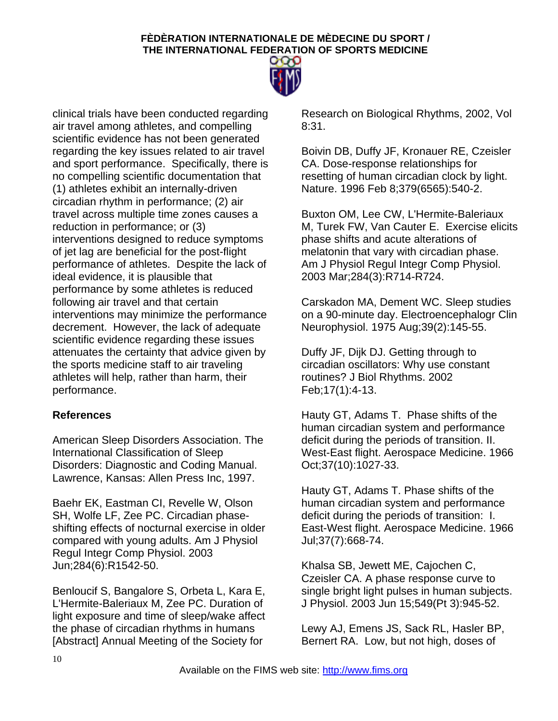

clinical trials have been conducted regarding air travel among athletes, and compelling scientific evidence has not been generated regarding the key issues related to air travel and sport performance. Specifically, there is no compelling scientific documentation that (1) athletes exhibit an internally-driven circadian rhythm in performance; (2) air travel across multiple time zones causes a reduction in performance; or (3) interventions designed to reduce symptoms of jet lag are beneficial for the post-flight performance of athletes. Despite the lack of ideal evidence, it is plausible that performance by some athletes is reduced following air travel and that certain interventions may minimize the performance decrement. However, the lack of adequate scientific evidence regarding these issues attenuates the certainty that advice given by the sports medicine staff to air traveling athletes will help, rather than harm, their performance.

## **References**

American Sleep Disorders Association. The International Classification of Sleep Disorders: Diagnostic and Coding Manual. Lawrence, Kansas: Allen Press Inc, 1997.

[Baehr EK, Eastman CI, Revelle W, Olson](http://www.ncbi.nlm.nih.gov/entrez/query.fcgi?cmd=Retrieve&db=PubMed&list_uids=12573982&dopt=Abstract)  [SH, Wolfe LF, Zee PC.](http://www.ncbi.nlm.nih.gov/entrez/query.fcgi?cmd=Retrieve&db=PubMed&list_uids=12573982&dopt=Abstract) Circadian phaseshifting effects of nocturnal exercise in older compared with young adults. Am J Physiol Regul Integr Comp Physiol. 2003 Jun;284(6):R1542-50.

Benloucif S, Bangalore S, Orbeta L, Kara E, L'Hermite-Baleriaux M, Zee PC. Duration of light exposure and time of sleep/wake affect the phase of circadian rhythms in humans [Abstract] Annual Meeting of the Society for

Research on Biological Rhythms, 2002, Vol 8:31.

Boivin DB, Duffy JF, Kronauer RE, Czeisler CA. Dose-response relationships for resetting of human circadian clock by light. Nature. 1996 Feb 8;379(6565):540-2.

Buxton OM, Lee CW, L'Hermite-Baleriaux M, Turek FW, Van Cauter E. Exercise elicits phase shifts and acute alterations of melatonin that vary with circadian phase. Am J Physiol Regul Integr Comp Physiol. 2003 Mar;284(3):R714-R724.

Carskadon MA, Dement WC. Sleep studies on a 90-minute day. Electroencephalogr Clin Neurophysiol. 1975 Aug;39(2):145-55.

Duffy JF, Dijk DJ. Getting through to circadian oscillators: Why use constant routines? J Biol Rhythms. 2002 Feb;17(1):4-13.

Hauty GT, Adams T. Phase shifts of the human circadian system and performance deficit during the periods of transition. II. West-East flight. Aerospace Medicine. 1966 Oct;37(10):1027-33.

Hauty GT, Adams T. Phase shifts of the human circadian system and performance deficit during the periods of transition: I. East-West flight. Aerospace Medicine. 1966 Jul;37(7):668-74.

[Khalsa SB, Jewett ME, Cajochen C,](http://www.ncbi.nlm.nih.gov/entrez/query.fcgi?cmd=Retrieve&db=PubMed&list_uids=12717008&dopt=Abstract)  [Czeisler CA.](http://www.ncbi.nlm.nih.gov/entrez/query.fcgi?cmd=Retrieve&db=PubMed&list_uids=12717008&dopt=Abstract) A phase response curve to single bright light pulses in human subjects. J Physiol. 2003 Jun 15;549(Pt 3):945-52.

Lewy AJ, Emens JS, Sack RL, Hasler BP, Bernert RA. Low, but not high, doses of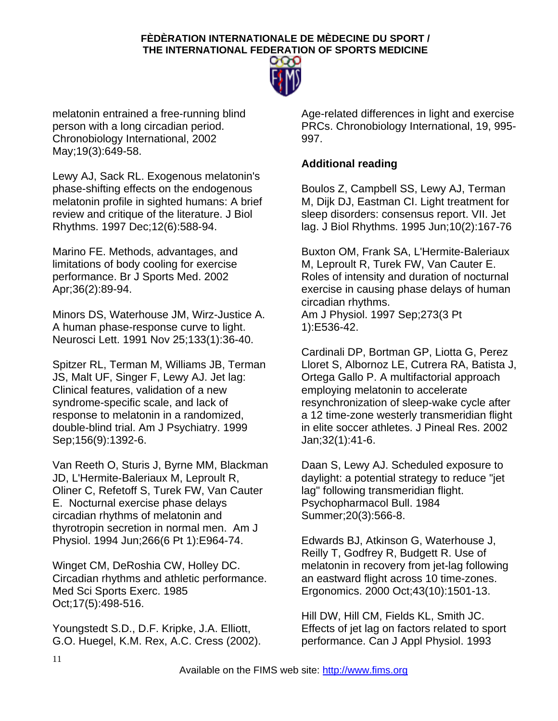

melatonin entrained a free-running blind person with a long circadian period. Chronobiology International, 2002 May;19(3):649-58.

Lewy AJ, Sack RL. Exogenous melatonin's phase-shifting effects on the endogenous melatonin profile in sighted humans: A brief review and critique of the literature. J Biol Rhythms. 1997 Dec;12(6):588-94.

Marino FE. Methods, advantages, and limitations of body cooling for exercise performance. Br J Sports Med. 2002 Apr;36(2):89-94.

Minors DS, Waterhouse JM, Wirz-Justice A. A human phase-response curve to light. Neurosci Lett. 1991 Nov 25;133(1):36-40.

Spitzer RL, Terman M, Williams JB, Terman JS, Malt UF, Singer F, Lewy AJ. Jet lag: Clinical features, validation of a new syndrome-specific scale, and lack of response to melatonin in a randomized, double-blind trial. Am J Psychiatry. 1999 Sep;156(9):1392-6.

Van Reeth O, Sturis J, Byrne MM, Blackman JD, L'Hermite-Baleriaux M, Leproult R, Oliner C, Refetoff S, Turek FW, Van Cauter E. Nocturnal exercise phase delays circadian rhythms of melatonin and thyrotropin secretion in normal men. Am J Physiol. 1994 Jun;266(6 Pt 1):E964-74.

Winget CM, DeRoshia CW, Holley DC. Circadian rhythms and athletic performance. Med Sci Sports Exerc. 1985 Oct;17(5):498-516.

Youngstedt S.D., D.F. Kripke, J.A. Elliott, G.O. Huegel, K.M. Rex, A.C. Cress (2002). Age-related differences in light and exercise PRCs. Chronobiology International, 19, 995- 997.

## **Additional reading**

Boulos Z, Campbell SS, Lewy AJ, Terman M, Dijk DJ, Eastman CI. Light treatment for sleep disorders: consensus report. VII. Jet lag. J Biol Rhythms. 1995 Jun;10(2):167-76

Buxton OM, Frank SA, L'Hermite-Baleriaux M, Leproult R, Turek FW, Van Cauter E. Roles of intensity and duration of nocturnal exercise in causing phase delays of human circadian rhythms. Am J Physiol. 1997 Sep;273(3 Pt 1):E536-42.

Cardinali DP, Bortman GP, Liotta G, Perez Lloret S, Albornoz LE, Cutrera RA, Batista J, Ortega Gallo P. A multifactorial approach employing melatonin to accelerate resynchronization of sleep-wake cycle after a 12 time-zone westerly transmeridian flight in elite soccer athletes. J Pineal Res. 2002 Jan;32(1):41-6.

Daan S, Lewy AJ. Scheduled exposure to daylight: a potential strategy to reduce "jet lag" following transmeridian flight. Psychopharmacol Bull. 1984 Summer;20(3):566-8.

Edwards BJ, Atkinson G, Waterhouse J, Reilly T, Godfrey R, Budgett R. Use of melatonin in recovery from jet-lag following an eastward flight across 10 time-zones. Ergonomics. 2000 Oct;43(10):1501-13.

Hill DW, Hill CM, Fields KL, Smith JC. Effects of jet lag on factors related to sport performance. Can J Appl Physiol. 1993